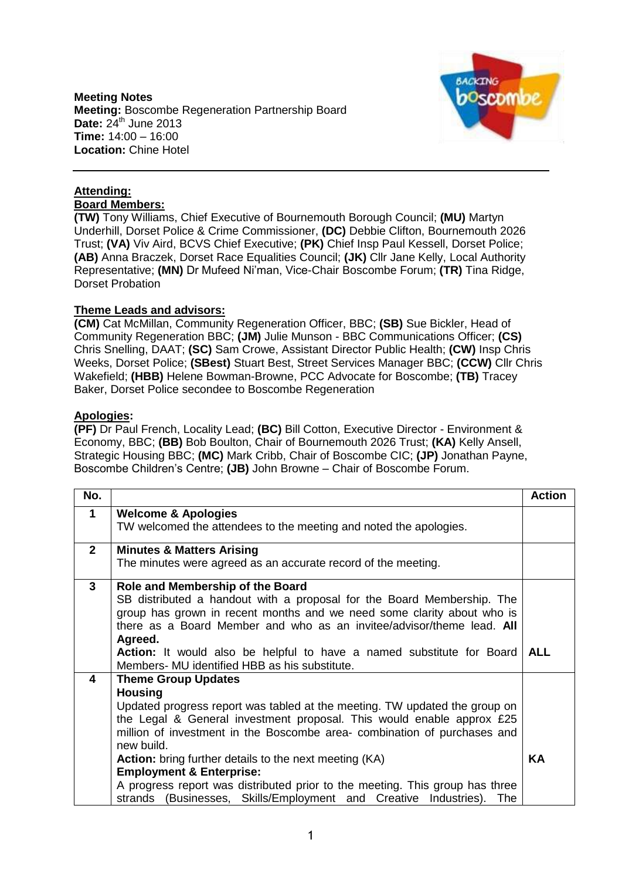**Meeting Notes Meeting:** Boscombe Regeneration Partnership Board **Date: 24<sup>th</sup> June 2013 Time:** 14:00 – 16:00 **Location:** Chine Hotel



## **Attending: Board Members:**

**(TW)** Tony Williams, Chief Executive of Bournemouth Borough Council; **(MU)** Martyn Underhill, Dorset Police & Crime Commissioner, **(DC)** Debbie Clifton, Bournemouth 2026 Trust; **(VA)** Viv Aird, BCVS Chief Executive; **(PK)** Chief Insp Paul Kessell, Dorset Police; **(AB)** Anna Braczek, Dorset Race Equalities Council; **(JK)** Cllr Jane Kelly, Local Authority Representative; **(MN)** Dr Mufeed Ni'man, Vice-Chair Boscombe Forum; **(TR)** Tina Ridge, Dorset Probation

## **Theme Leads and advisors:**

**(CM)** Cat McMillan, Community Regeneration Officer, BBC; **(SB)** Sue Bickler, Head of Community Regeneration BBC; **(JM)** Julie Munson - BBC Communications Officer; **(CS)**  Chris Snelling, DAAT; **(SC)** Sam Crowe, Assistant Director Public Health; **(CW)** Insp Chris Weeks, Dorset Police; **(SBest)** Stuart Best, Street Services Manager BBC; **(CCW)** Cllr Chris Wakefield; **(HBB)** Helene Bowman-Browne, PCC Advocate for Boscombe; **(TB)** Tracey Baker, Dorset Police secondee to Boscombe Regeneration

## **Apologies:**

**(PF)** Dr Paul French, Locality Lead; **(BC)** Bill Cotton, Executive Director - Environment & Economy, BBC; **(BB)** Bob Boulton, Chair of Bournemouth 2026 Trust; **(KA)** Kelly Ansell, Strategic Housing BBC; **(MC)** Mark Cribb, Chair of Boscombe CIC; **(JP)** Jonathan Payne, Boscombe Children's Centre; **(JB)** John Browne – Chair of Boscombe Forum.

| No.                     |                                                                              | <b>Action</b> |
|-------------------------|------------------------------------------------------------------------------|---------------|
| $\mathbf 1$             | <b>Welcome &amp; Apologies</b>                                               |               |
|                         | TW welcomed the attendees to the meeting and noted the apologies.            |               |
| $2^{\circ}$             | <b>Minutes &amp; Matters Arising</b>                                         |               |
|                         | The minutes were agreed as an accurate record of the meeting.                |               |
| $\mathbf{3}$            | Role and Membership of the Board                                             |               |
|                         | SB distributed a handout with a proposal for the Board Membership. The       |               |
|                         | group has grown in recent months and we need some clarity about who is       |               |
|                         | there as a Board Member and who as an invitee/advisor/theme lead. All        |               |
|                         | Agreed.                                                                      |               |
|                         | Action: It would also be helpful to have a named substitute for Board        | <b>ALL</b>    |
| $\overline{\mathbf{4}}$ | Members- MU identified HBB as his substitute.                                |               |
|                         | <b>Theme Group Updates</b><br><b>Housing</b>                                 |               |
|                         | Updated progress report was tabled at the meeting. TW updated the group on   |               |
|                         | the Legal & General investment proposal. This would enable approx £25        |               |
|                         | million of investment in the Boscombe area- combination of purchases and     |               |
|                         | new build.                                                                   |               |
|                         | Action: bring further details to the next meeting (KA)                       | KA            |
|                         | <b>Employment &amp; Enterprise:</b>                                          |               |
|                         | A progress report was distributed prior to the meeting. This group has three |               |
|                         | strands (Businesses, Skills/Employment and Creative Industries). The         |               |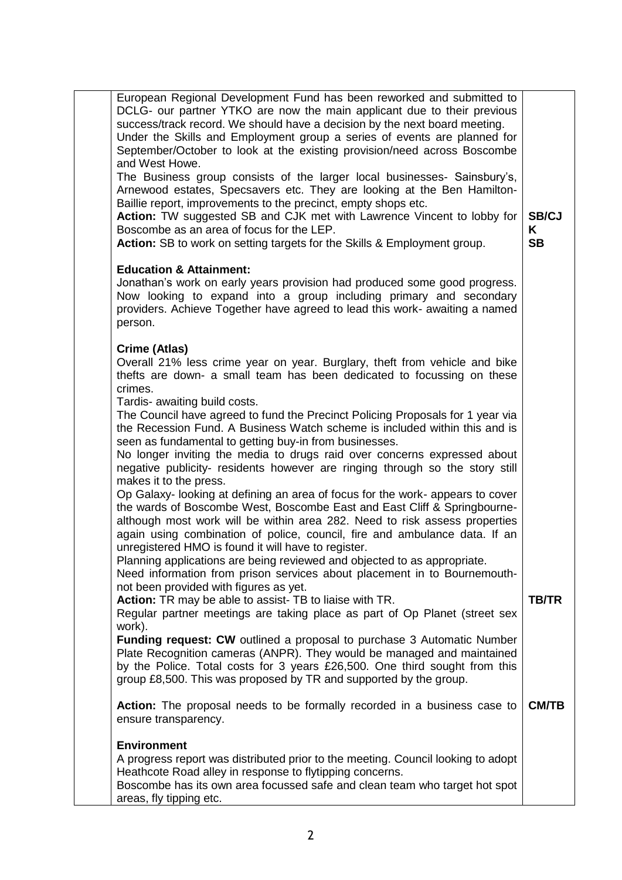| European Regional Development Fund has been reworked and submitted to<br>DCLG- our partner YTKO are now the main applicant due to their previous<br>success/track record. We should have a decision by the next board meeting.<br>Under the Skills and Employment group a series of events are planned for<br>September/October to look at the existing provision/need across Boscombe<br>and West Howe.                         |                                |
|----------------------------------------------------------------------------------------------------------------------------------------------------------------------------------------------------------------------------------------------------------------------------------------------------------------------------------------------------------------------------------------------------------------------------------|--------------------------------|
| The Business group consists of the larger local businesses- Sainsbury's,<br>Arnewood estates, Specsavers etc. They are looking at the Ben Hamilton-<br>Baillie report, improvements to the precinct, empty shops etc.<br>Action: TW suggested SB and CJK met with Lawrence Vincent to lobby for<br>Boscombe as an area of focus for the LEP.<br>Action: SB to work on setting targets for the Skills & Employment group.         | <b>SB/CJ</b><br>K<br><b>SB</b> |
| <b>Education &amp; Attainment:</b><br>Jonathan's work on early years provision had produced some good progress.<br>Now looking to expand into a group including primary and secondary<br>providers. Achieve Together have agreed to lead this work- awaiting a named<br>person.                                                                                                                                                  |                                |
| Crime (Atlas)<br>Overall 21% less crime year on year. Burglary, theft from vehicle and bike<br>thefts are down- a small team has been dedicated to focussing on these<br>crimes.<br>Tardis- awaiting build costs.                                                                                                                                                                                                                |                                |
| The Council have agreed to fund the Precinct Policing Proposals for 1 year via<br>the Recession Fund. A Business Watch scheme is included within this and is<br>seen as fundamental to getting buy-in from businesses.<br>No longer inviting the media to drugs raid over concerns expressed about                                                                                                                               |                                |
| negative publicity- residents however are ringing through so the story still<br>makes it to the press.<br>Op Galaxy- looking at defining an area of focus for the work- appears to cover<br>the wards of Boscombe West, Boscombe East and East Cliff & Springbourne-<br>although most work will be within area 282. Need to risk assess properties<br>again using combination of police, council, fire and ambulance data. If an |                                |
| unregistered HMO is found it will have to register.<br>Planning applications are being reviewed and objected to as appropriate.<br>Need information from prison services about placement in to Bournemouth-<br>not been provided with figures as yet.<br>Action: TR may be able to assist- TB to liaise with TR.<br>Regular partner meetings are taking place as part of Op Planet (street sex                                   | <b>TB/TR</b>                   |
| work).<br><b>Funding request: CW</b> outlined a proposal to purchase 3 Automatic Number<br>Plate Recognition cameras (ANPR). They would be managed and maintained<br>by the Police. Total costs for 3 years £26,500. One third sought from this<br>group £8,500. This was proposed by TR and supported by the group.                                                                                                             |                                |
| Action: The proposal needs to be formally recorded in a business case to<br>ensure transparency.                                                                                                                                                                                                                                                                                                                                 | <b>CM/TB</b>                   |
| <b>Environment</b><br>A progress report was distributed prior to the meeting. Council looking to adopt<br>Heathcote Road alley in response to flytipping concerns.<br>Boscombe has its own area focussed safe and clean team who target hot spot<br>areas, fly tipping etc.                                                                                                                                                      |                                |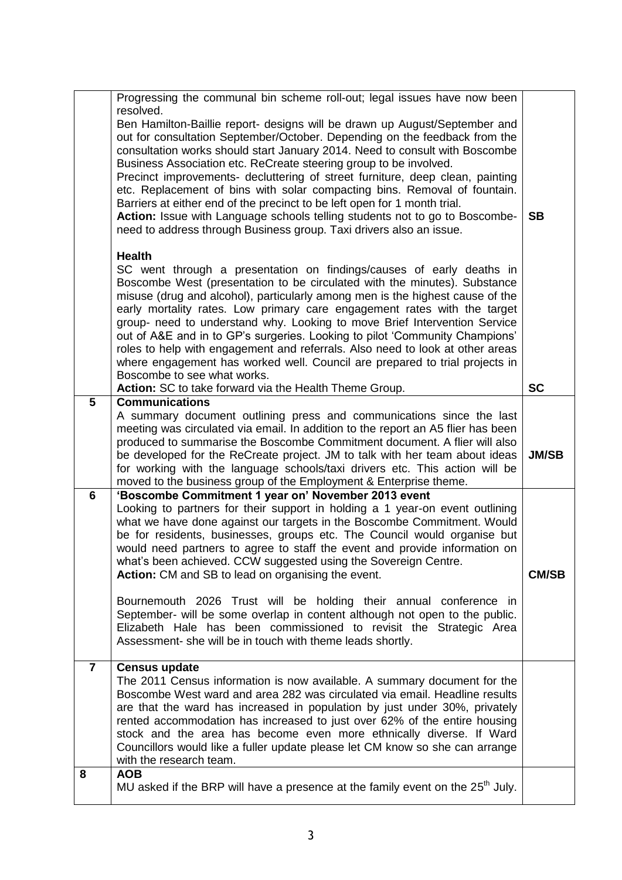|                | Progressing the communal bin scheme roll-out; legal issues have now been                                                                                                                                                                |              |
|----------------|-----------------------------------------------------------------------------------------------------------------------------------------------------------------------------------------------------------------------------------------|--------------|
|                | resolved.                                                                                                                                                                                                                               |              |
|                | Ben Hamilton-Baillie report- designs will be drawn up August/September and<br>out for consultation September/October. Depending on the feedback from the<br>consultation works should start January 2014. Need to consult with Boscombe |              |
|                | Business Association etc. ReCreate steering group to be involved.                                                                                                                                                                       |              |
|                | Precinct improvements- decluttering of street furniture, deep clean, painting                                                                                                                                                           |              |
|                | etc. Replacement of bins with solar compacting bins. Removal of fountain.                                                                                                                                                               |              |
|                | Barriers at either end of the precinct to be left open for 1 month trial.                                                                                                                                                               |              |
|                | Action: Issue with Language schools telling students not to go to Boscombe-                                                                                                                                                             | <b>SB</b>    |
|                | need to address through Business group. Taxi drivers also an issue.                                                                                                                                                                     |              |
|                | <b>Health</b>                                                                                                                                                                                                                           |              |
|                | SC went through a presentation on findings/causes of early deaths in                                                                                                                                                                    |              |
|                | Boscombe West (presentation to be circulated with the minutes). Substance                                                                                                                                                               |              |
|                | misuse (drug and alcohol), particularly among men is the highest cause of the<br>early mortality rates. Low primary care engagement rates with the target                                                                               |              |
|                | group- need to understand why. Looking to move Brief Intervention Service                                                                                                                                                               |              |
|                | out of A&E and in to GP's surgeries. Looking to pilot 'Community Champions'                                                                                                                                                             |              |
|                | roles to help with engagement and referrals. Also need to look at other areas                                                                                                                                                           |              |
|                | where engagement has worked well. Council are prepared to trial projects in                                                                                                                                                             |              |
|                | Boscombe to see what works.<br>Action: SC to take forward via the Health Theme Group.                                                                                                                                                   | <b>SC</b>    |
| $5\phantom{1}$ | <b>Communications</b>                                                                                                                                                                                                                   |              |
|                | A summary document outlining press and communications since the last                                                                                                                                                                    |              |
|                | meeting was circulated via email. In addition to the report an A5 flier has been                                                                                                                                                        |              |
|                | produced to summarise the Boscombe Commitment document. A flier will also                                                                                                                                                               |              |
|                | be developed for the ReCreate project. JM to talk with her team about ideas<br>for working with the language schools/taxi drivers etc. This action will be                                                                              | <b>JM/SB</b> |
|                | moved to the business group of the Employment & Enterprise theme.                                                                                                                                                                       |              |
| $6\phantom{1}$ | 'Boscombe Commitment 1 year on' November 2013 event                                                                                                                                                                                     |              |
|                | Looking to partners for their support in holding a 1 year-on event outlining                                                                                                                                                            |              |
|                | what we have done against our targets in the Boscombe Commitment. Would                                                                                                                                                                 |              |
|                | be for residents, businesses, groups etc. The Council would organise but<br>would need partners to agree to staff the event and provide information on                                                                                  |              |
|                | what's been achieved. CCW suggested using the Sovereign Centre.                                                                                                                                                                         |              |
|                | Action: CM and SB to lead on organising the event.                                                                                                                                                                                      | <b>CM/SB</b> |
|                |                                                                                                                                                                                                                                         |              |
|                | Bournemouth 2026 Trust will be holding their annual conference in<br>September- will be some overlap in content although not open to the public.                                                                                        |              |
|                | Elizabeth Hale has been commissioned to revisit the Strategic Area                                                                                                                                                                      |              |
|                | Assessment- she will be in touch with theme leads shortly.                                                                                                                                                                              |              |
|                |                                                                                                                                                                                                                                         |              |
| $\overline{7}$ | <b>Census update</b><br>The 2011 Census information is now available. A summary document for the                                                                                                                                        |              |
|                | Boscombe West ward and area 282 was circulated via email. Headline results                                                                                                                                                              |              |
|                | are that the ward has increased in population by just under 30%, privately                                                                                                                                                              |              |
|                | rented accommodation has increased to just over 62% of the entire housing                                                                                                                                                               |              |
|                | stock and the area has become even more ethnically diverse. If Ward                                                                                                                                                                     |              |
|                | Councillors would like a fuller update please let CM know so she can arrange<br>with the research team.                                                                                                                                 |              |
| 8              | <b>AOB</b>                                                                                                                                                                                                                              |              |
|                | MU asked if the BRP will have a presence at the family event on the $25th$ July.                                                                                                                                                        |              |
|                |                                                                                                                                                                                                                                         |              |